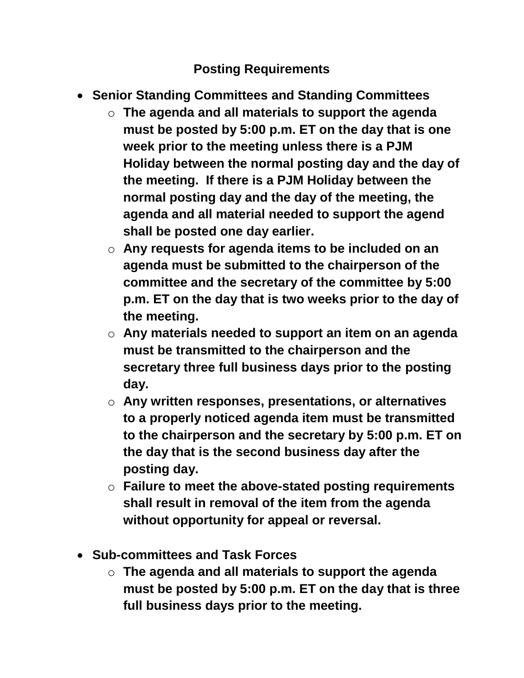## **Posting Requirements**

- **Senior Standing Committees and Standing Committees**
	- o **The agenda and all materials to support the agenda must be posted by 5:00 p.m. ET on the day that is one week prior to the meeting unless there is a PJM Holiday between the normal posting day and the day of the meeting. If there is a PJM Holiday between the normal posting day and the day of the meeting, the agenda and all material needed to support the agend shall be posted one day earlier.**
	- o **Any requests for agenda items to be included on an agenda must be submitted to the chairperson of the committee and the secretary of the committee by 5:00 p.m. ET on the day that is two weeks prior to the day of the meeting.**
	- o **Any materials needed to support an item on an agenda must be transmitted to the chairperson and the secretary three full business days prior to the posting day.**
	- o **Any written responses, presentations, or alternatives to a properly noticed agenda item must be transmitted to the chairperson and the secretary by 5:00 p.m. ET on the day that is the second business day after the posting day.**
	- o **Failure to meet the above-stated posting requirements shall result in removal of the item from the agenda without opportunity for appeal or reversal.**
- **Sub-committees and Task Forces**
	- o **The agenda and all materials to support the agenda must be posted by 5:00 p.m. ET on the day that is three full business days prior to the meeting.**